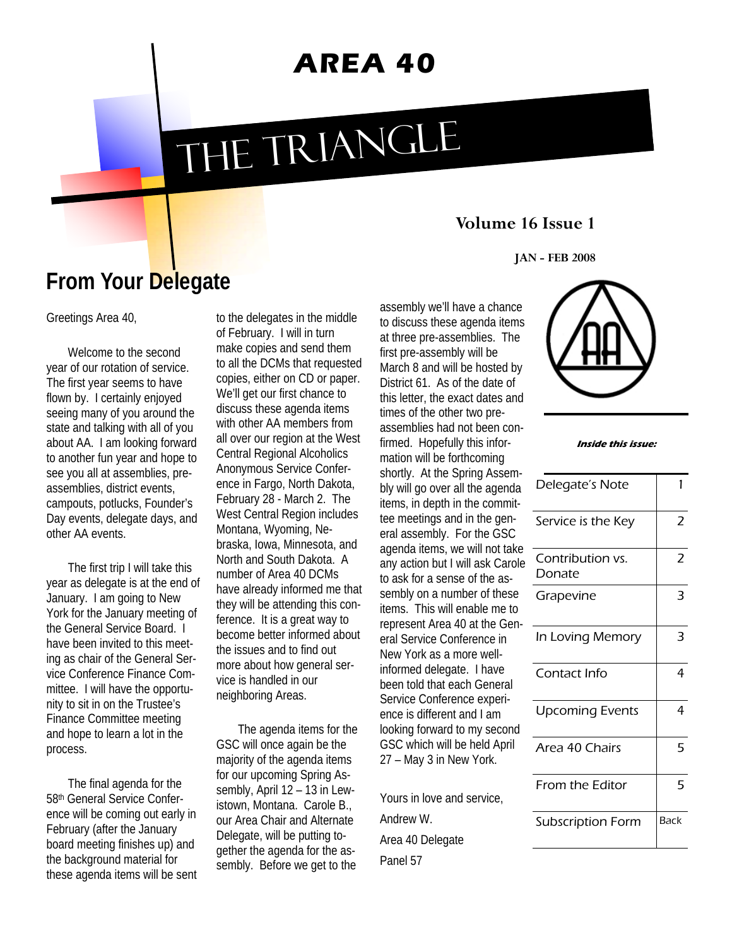# **AREA 40**

# THE TRIANGLE

#### **Volume 16 Issue 1**

**JAN - FEB 2008** 

## **From Your Delegate**

Greetings Area 40,

Welcome to the second year of our rotation of service. The first year seems to have flown by. I certainly enjoyed seeing many of you around the state and talking with all of you about AA. I am looking forward to another fun year and hope to see you all at assemblies, preassemblies, district events, campouts, potlucks, Founder's Day events, delegate days, and other AA events.

The first trip I will take this year as delegate is at the end of January. I am going to New York for the January meeting of the General Service Board. I have been invited to this meeting as chair of the General Service Conference Finance Committee. I will have the opportunity to sit in on the Trustee's Finance Committee meeting and hope to learn a lot in the process.

The final agenda for the 58th General Service Conference will be coming out early in February (after the January board meeting finishes up) and the background material for these agenda items will be sent to the delegates in the middle of February. I will in turn make copies and send them to all the DCMs that requested copies, either on CD or paper. We'll get our first chance to discuss these agenda items with other AA members from all over our region at the West Central Regional Alcoholics Anonymous Service Conference in Fargo, North Dakota, February 28 - March 2. The West Central Region includes Montana, Wyoming, Nebraska, Iowa, Minnesota, and North and South Dakota. A number of Area 40 DCMs have already informed me that they will be attending this conference. It is a great way to become better informed about the issues and to find out more about how general service is handled in our neighboring Areas.

The agenda items for the GSC will once again be the majority of the agenda items for our upcoming Spring Assembly, April 12 – 13 in Lewistown, Montana. Carole B., our Area Chair and Alternate Delegate, will be putting together the agenda for the assembly. Before we get to the assembly we'll have a chance to discuss these agenda items at three pre-assemblies. The first pre-assembly will be March 8 and will be hosted by District 61. As of the date of this letter, the exact dates and times of the other two preassemblies had not been confirmed. Hopefully this information will be forthcoming shortly. At the Spring Assembly will go over all the agenda items, in depth in the committee meetings and in the general assembly. For the GSC agenda items, we will not take any action but I will ask Carole to ask for a sense of the assembly on a number of these items. This will enable me to represent Area 40 at the General Service Conference in New York as a more wellinformed delegate. I have been told that each General Service Conference experience is different and I am looking forward to my second GSC which will be held April 27 – May 3 in New York.

Yours in love and service, Andrew W. Area 40 Delegate Panel 57



| Inside this issue: |  |  |
|--------------------|--|--|
|--------------------|--|--|

| Delegate's Note            | 1                        |
|----------------------------|--------------------------|
| Service is the Key         | 2                        |
| Contribution vs.<br>Donate | $\overline{\phantom{a}}$ |
| Grapevine                  | 3                        |
| In Loving Memory           | 3                        |
| Contact Info               | 4                        |
| <b>Upcoming Events</b>     | 4                        |
| Area 40 Chairs             | 5                        |
| From the Editor            | 5                        |
| <b>Subscription Form</b>   | Back                     |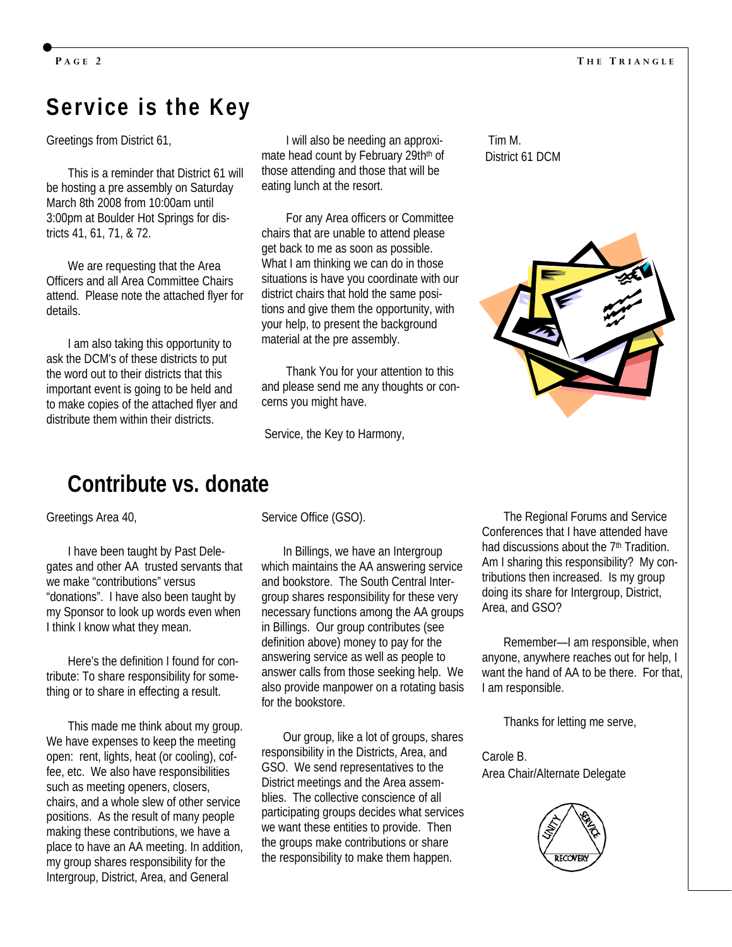## **Service is the Key**

Greetings from District 61,

This is a reminder that District 61 will be hosting a pre assembly on Saturday March 8th 2008 from 10:00am until 3:00pm at Boulder Hot Springs for districts 41, 61, 71, & 72.

We are requesting that the Area Officers and all Area Committee Chairs attend. Please note the attached flyer for details.

I am also taking this opportunity to ask the DCM's of these districts to put the word out to their districts that this important event is going to be held and to make copies of the attached flyer and distribute them within their districts.

 I will also be needing an approximate head count by February 29th<sup>th</sup> of those attending and those that will be eating lunch at the resort.

 For any Area officers or Committee chairs that are unable to attend please get back to me as soon as possible. What I am thinking we can do in those situations is have you coordinate with our district chairs that hold the same positions and give them the opportunity, with your help, to present the background material at the pre assembly.

 Thank You for your attention to this and please send me any thoughts or concerns you might have.

Service, the Key to Harmony,

 Tim M. District 61 DCM



#### **Contribute vs. donate**

Greetings Area 40,

I have been taught by Past Delegates and other AA trusted servants that we make "contributions" versus "donations". I have also been taught by my Sponsor to look up words even when I think I know what they mean.

Here's the definition I found for contribute: To share responsibility for something or to share in effecting a result.

This made me think about my group. We have expenses to keep the meeting open: rent, lights, heat (or cooling), coffee, etc. We also have responsibilities such as meeting openers, closers, chairs, and a whole slew of other service positions. As the result of many people making these contributions, we have a place to have an AA meeting. In addition, my group shares responsibility for the Intergroup, District, Area, and General

Service Office (GSO).

In Billings, we have an Intergroup which maintains the AA answering service and bookstore. The South Central Intergroup shares responsibility for these very necessary functions among the AA groups in Billings. Our group contributes (see definition above) money to pay for the answering service as well as people to answer calls from those seeking help. We also provide manpower on a rotating basis for the bookstore.

Our group, like a lot of groups, shares responsibility in the Districts, Area, and GSO. We send representatives to the District meetings and the Area assemblies. The collective conscience of all participating groups decides what services we want these entities to provide. Then the groups make contributions or share the responsibility to make them happen.

The Regional Forums and Service Conferences that I have attended have had discussions about the 7<sup>th</sup> Tradition. Am I sharing this responsibility? My contributions then increased. Is my group doing its share for Intergroup, District, Area, and GSO?

Remember—I am responsible, when anyone, anywhere reaches out for help, I want the hand of AA to be there. For that, I am responsible.

Thanks for letting me serve,

Carole B. Area Chair/Alternate Delegate

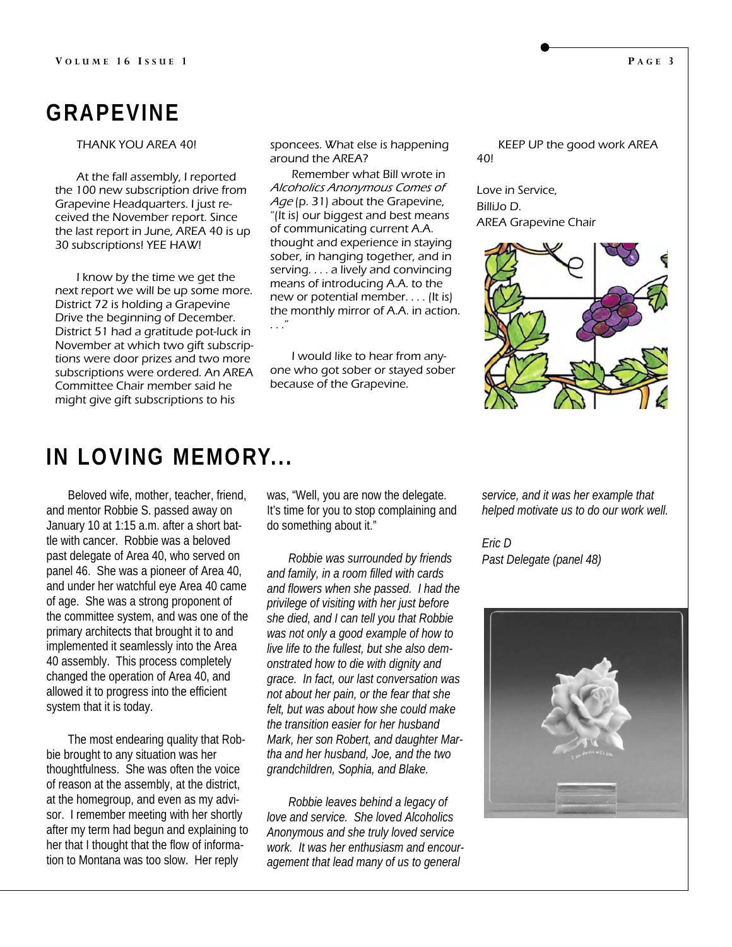## **GRAPEVINE**

THANK YOU AREA 40!

At the fall assembly, I reported the 100 new subscription drive from Grapevine Headquarters. I just received the November report. Since the last report in June, AREA 40 is up 30 subscriptions! YEE HAW!

I know by the time we get the next report we will be up some more. District 72 is holding a Grapevine Drive the beginning of December. District 51 had a gratitude pot-luck in November at which two gift subscriptions were door prizes and two more subscriptions were ordered. An AREA Committee Chair member said he might give gift subscriptions to his

sponcees. What else is happening around the AREA?

Remember what Bill wrote in Alcoholics Anonymous Comes of Age (p. 31) about the Grapevine, "(It is) our biggest and best means of communicating current A.A. thought and experience in staying sober, in hanging together, and in serving. . . . a lively and convincing means of introducing A.A. to the new or potential member. . . . (It is) the monthly mirror of A.A. in action. . . ."

I would like to hear from anyone who got sober or stayed sober because of the Grapevine.

KEEP UP the good work AREA 40!

Love in Service, BilliJo D. AREA Grapevine Chair



### **IN LOVING MEMORY...**

Beloved wife, mother, teacher, friend, and mentor Robbie S. passed away on January 10 at 1:15 a.m. after a short battle with cancer. Robbie was a beloved past delegate of Area 40, who served on panel 46. She was a pioneer of Area 40, and under her watchful eye Area 40 came of age. She was a strong proponent of the committee system, and was one of the primary architects that brought it to and implemented it seamlessly into the Area 40 assembly. This process completely changed the operation of Area 40, and allowed it to progress into the efficient system that it is today.

The most endearing quality that Robbie brought to any situation was her thoughtfulness. She was often the voice of reason at the assembly, at the district, at the homegroup, and even as my advisor. I remember meeting with her shortly after my term had begun and explaining to her that I thought that the flow of information to Montana was too slow. Her reply

was, "Well, you are now the delegate. It's time for you to stop complaining and do something about it."

*Robbie was surrounded by friends and family, in a room filled with cards and flowers when she passed. I had the privilege of visiting with her just before she died, and I can tell you that Robbie was not only a good example of how to live life to the fullest, but she also demonstrated how to die with dignity and grace. In fact, our last conversation was not about her pain, or the fear that she felt, but was about how she could make the transition easier for her husband Mark, her son Robert, and daughter Martha and her husband, Joe, and the two grandchildren, Sophia, and Blake.* 

*Robbie leaves behind a legacy of love and service. She loved Alcoholics Anonymous and she truly loved service work. It was her enthusiasm and encouragement that lead many of us to general* 

*service, and it was her example that helped motivate us to do our work well.* 

*Eric D Past Delegate (panel 48)* 

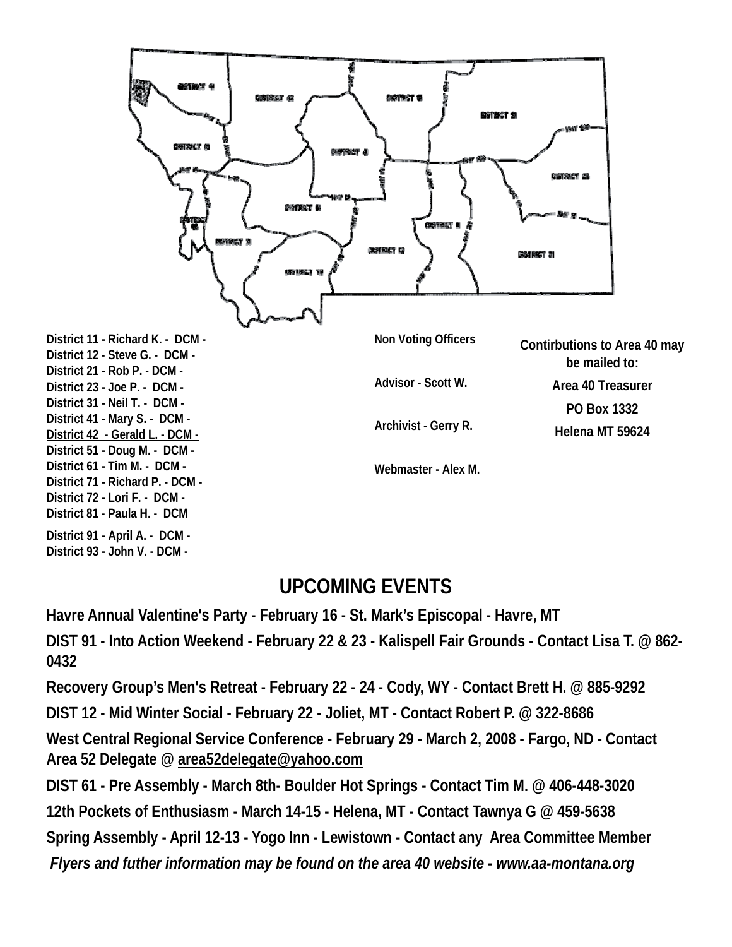

#### **UPCOMING EVENTS**

**Havre Annual Valentine's Party - February 16 - St. Mark's Episcopal - Havre, MT** 

**DIST 91 - Into Action Weekend - February 22 & 23 - Kalispell Fair Grounds - Contact Lisa T. @ 862- 0432** 

**Recovery Group's Men's Retreat - February 22 - 24 - Cody, WY - Contact Brett H. @ 885-9292** 

**DIST 12 - Mid Winter Social - February 22 - Joliet, MT - Contact Robert P. @ 322-8686** 

**West Central Regional Service Conference - February 29 - March 2, 2008 - Fargo, ND - Contact Area 52 Delegate @ area52delegate@yahoo.com**

**DIST 61 - Pre Assembly - March 8th- Boulder Hot Springs - Contact Tim M. @ 406-448-3020** 

**12th Pockets of Enthusiasm - March 14-15 - Helena, MT - Contact Tawnya G @ 459-5638** 

**Spring Assembly - April 12-13 - Yogo Inn - Lewistown - Contact any Area Committee Member** 

*Flyers and futher information may be found on the area 40 website - www.aa-montana.org*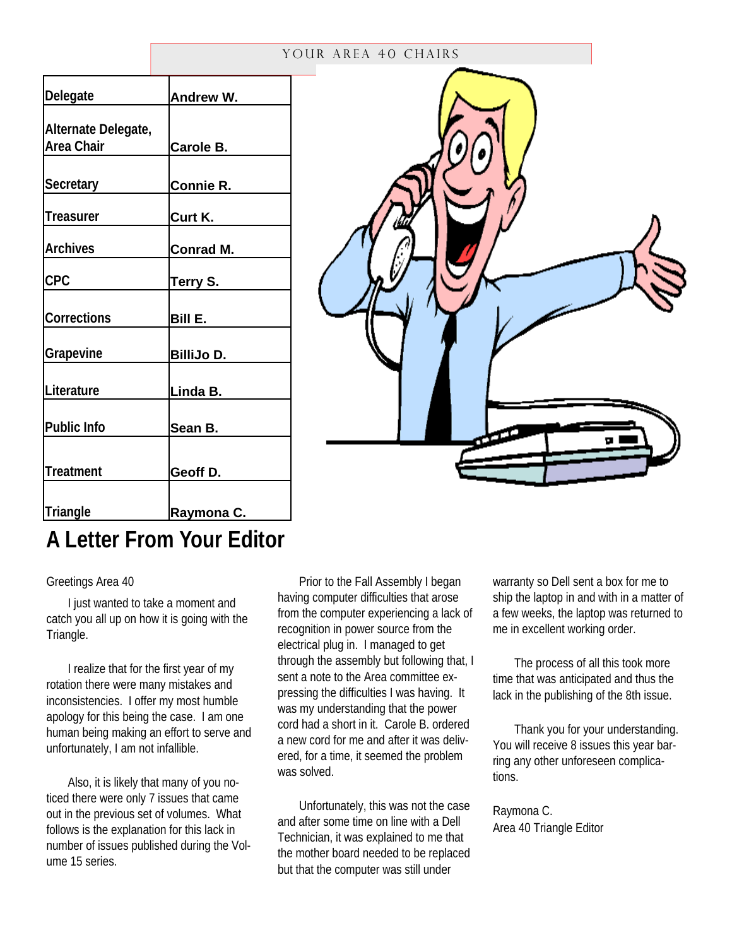#### YOUR AREA 40 CHAIRS

| Delegate            | Andrew W.         |
|---------------------|-------------------|
| Alternate Delegate, |                   |
| Area Chair          | Carole B.         |
|                     |                   |
| <b>Secretary</b>    | Connie R.         |
| Treasurer           | Curt K.           |
| <b>Archives</b>     | <b>Conrad M.</b>  |
| <b>CPC</b>          | Terry S.          |
| Corrections         | Bill E.           |
| Grapevine           | <b>BilliJo D.</b> |
| Literature          | Linda B.          |
| <b>Public Info</b>  | Sean B.           |
| <b>Treatment</b>    | Geoff D.          |
|                     |                   |
| <b>Triangle</b>     | Raymona C.        |



# **A Letter From Your Editor**

#### Greetings Area 40

I just wanted to take a moment and catch you all up on how it is going with the Triangle.

I realize that for the first year of my rotation there were many mistakes and inconsistencies. I offer my most humble apology for this being the case. I am one human being making an effort to serve and unfortunately, I am not infallible.

Also, it is likely that many of you noticed there were only 7 issues that came out in the previous set of volumes. What follows is the explanation for this lack in number of issues published during the Volume 15 series.

Prior to the Fall Assembly I began having computer difficulties that arose from the computer experiencing a lack of recognition in power source from the electrical plug in. I managed to get through the assembly but following that, I sent a note to the Area committee expressing the difficulties I was having. It was my understanding that the power cord had a short in it. Carole B. ordered a new cord for me and after it was delivered, for a time, it seemed the problem was solved.

Unfortunately, this was not the case and after some time on line with a Dell Technician, it was explained to me that the mother board needed to be replaced but that the computer was still under

warranty so Dell sent a box for me to ship the laptop in and with in a matter of a few weeks, the laptop was returned to me in excellent working order.

The process of all this took more time that was anticipated and thus the lack in the publishing of the 8th issue.

Thank you for your understanding. You will receive 8 issues this year barring any other unforeseen complications.

Raymona C. Area 40 Triangle Editor